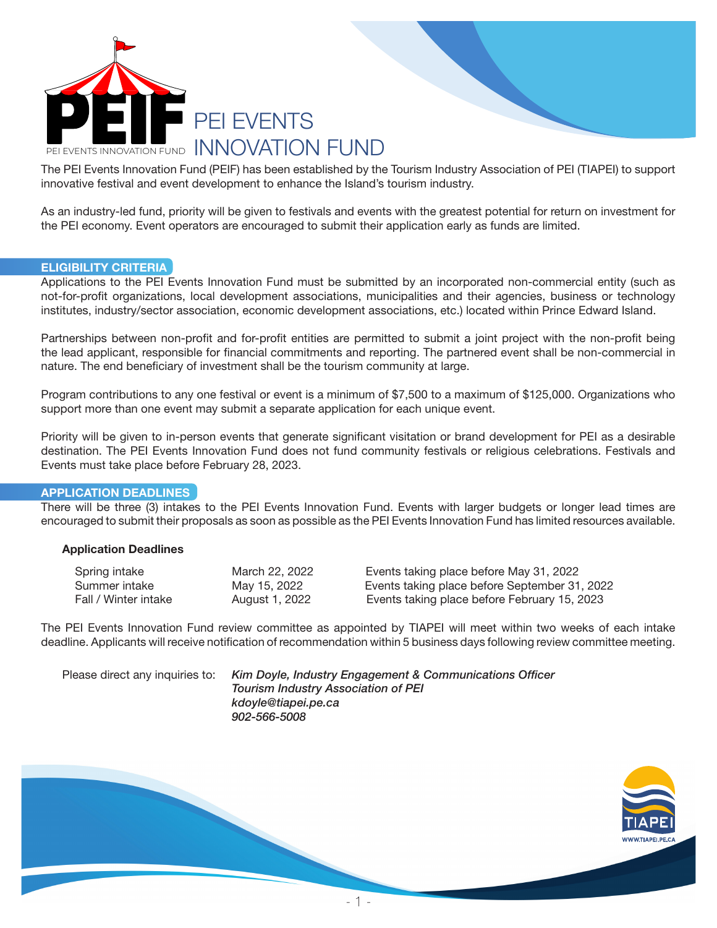

The PEI Events Innovation Fund (PEIF) has been established by the Tourism Industry Association of PEI (TIAPEI) to support innovative festival and event development to enhance the Island's tourism industry.

As an industry-led fund, priority will be given to festivals and events with the greatest potential for return on investment for the PEI economy. Event operators are encouraged to submit their application early as funds are limited.

#### ELIGIBILITY CRITERIA

Applications to the PEI Events Innovation Fund must be submitted by an incorporated non-commercial entity (such as not-for-profit organizations, local development associations, municipalities and their agencies, business or technology institutes, industry/sector association, economic development associations, etc.) located within Prince Edward Island.

Partnerships between non-profit and for-profit entities are permitted to submit a joint project with the non-profit being the lead applicant, responsible for financial commitments and reporting. The partnered event shall be non-commercial in nature. The end beneficiary of investment shall be the tourism community at large.

Program contributions to any one festival or event is a minimum of \$7,500 to a maximum of \$125,000. Organizations who support more than one event may submit a separate application for each unique event.

Priority will be given to in-person events that generate significant visitation or brand development for PEI as a desirable destination. The PEI Events Innovation Fund does not fund community festivals or religious celebrations. Festivals and Events must take place before February 28, 2023.

### APPLICATION DEADLINES

There will be three (3) intakes to the PEI Events Innovation Fund. Events with larger budgets or longer lead times are encouraged to submit their proposals as soon as possible as the PEI Events Innovation Fund has limited resources available.

### Application Deadlines

| Spring intake        | March 22, 2022 | Events taking place before May 31, 2022       |
|----------------------|----------------|-----------------------------------------------|
| Summer intake        | May 15, 2022   | Events taking place before September 31, 2022 |
| Fall / Winter intake | August 1, 2022 | Events taking place before February 15, 2023  |

The PEI Events Innovation Fund review committee as appointed by TIAPEI will meet within two weeks of each intake deadline. Applicants will receive notification of recommendation within 5 business days following review committee meeting.

Please direct any inquiries to: *Kim Doyle, Industry Engagement & Communications Officer Tourism Industry Association of PEI kdoyle@tiapei.pe.ca 902-566-5008*

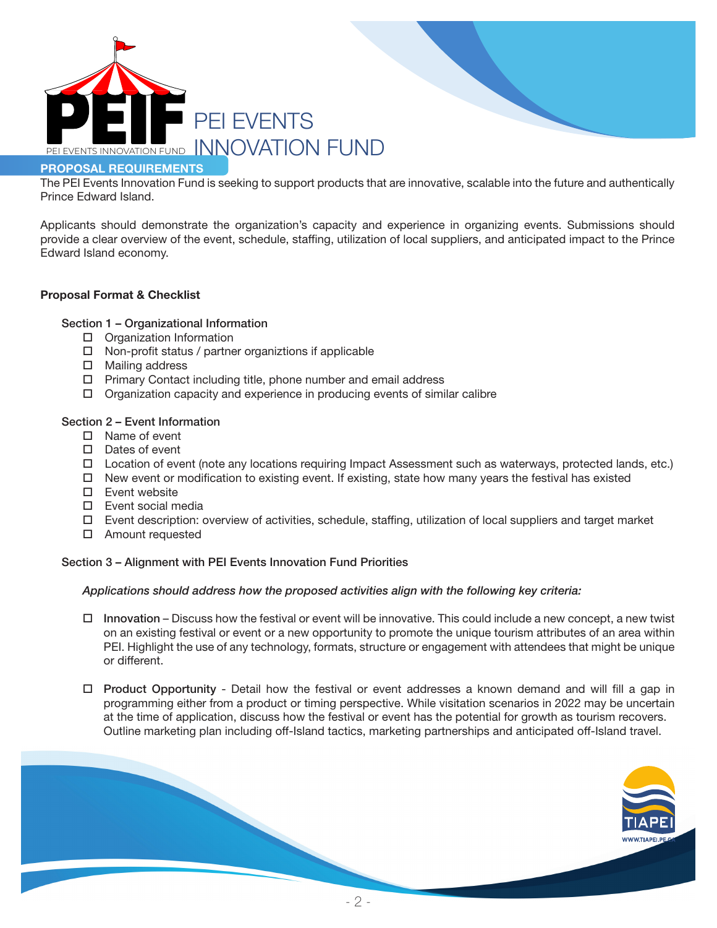

# PROPOSAL REQUIREMENTS

The PEI Events Innovation Fund is seeking to support products that are innovative, scalable into the future and authentically Prince Edward Island.

Applicants should demonstrate the organization's capacity and experience in organizing events. Submissions should provide a clear overview of the event, schedule, staffing, utilization of local suppliers, and anticipated impact to the Prince Edward Island economy.

## Proposal Format & Checklist

### Section 1 – Organizational Information

- $\Box$  Organization Information
- $\square$  Non-profit status / partner organiztions if applicable
- $\square$  Mailing address
- $\Box$  Primary Contact including title, phone number and email address
- $\Box$  Organization capacity and experience in producing events of similar calibre

### Section 2 – Event Information

- $\square$  Name of event
- $\square$  Dates of event
- $\Box$  Location of event (note any locations requiring Impact Assessment such as waterways, protected lands, etc.)
- $\Box$  New event or modification to existing event. If existing, state how many years the festival has existed
- $\square$  Event website
- $\square$  Event social media
- $\Box$  Event description: overview of activities, schedule, staffing, utilization of local suppliers and target market
- $\square$  Amount requested

### Section 3 – Alignment with PEI Events Innovation Fund Priorities

### *Applications should address how the proposed activities align with the following key criteria:*

- $\Box$  Innovation Discuss how the festival or event will be innovative. This could include a new concept, a new twist on an existing festival or event or a new opportunity to promote the unique tourism attributes of an area within PEI. Highlight the use of any technology, formats, structure or engagement with attendees that might be unique or different.
- $\Box$  Product Opportunity Detail how the festival or event addresses a known demand and will fill a gap in programming either from a product or timing perspective. While visitation scenarios in 2022 may be uncertain at the time of application, discuss how the festival or event has the potential for growth as tourism recovers. Outline marketing plan including off-Island tactics, marketing partnerships and anticipated off-Island travel.

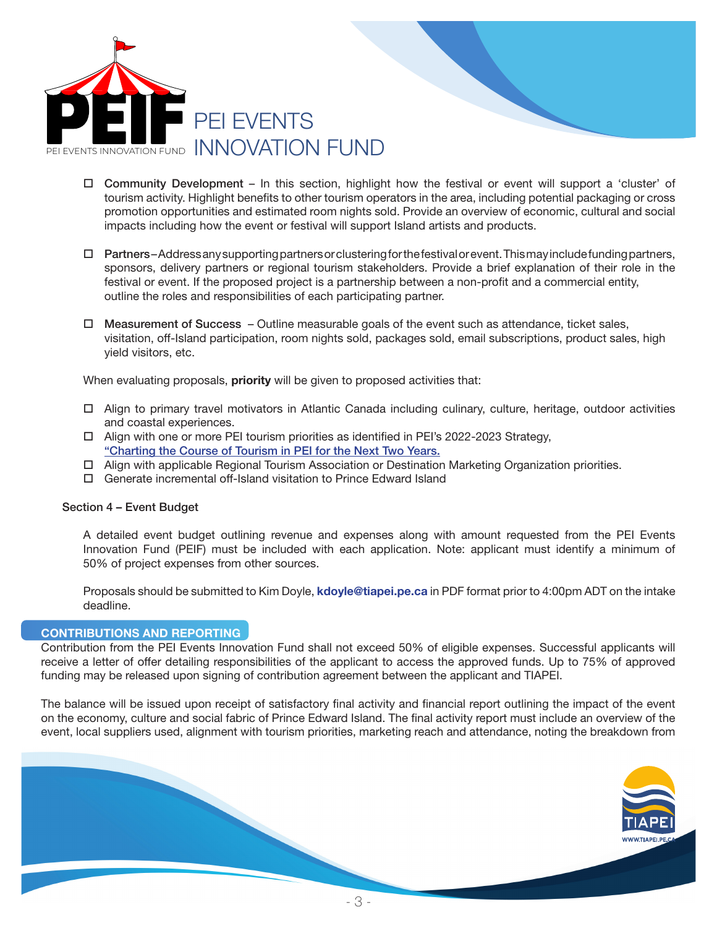

- $\Box$  Community Development In this section, highlight how the festival or event will support a 'cluster' of tourism activity. Highlight benefits to other tourism operators in the area, including potential packaging or cross promotion opportunities and estimated room nights sold. Provide an overview of economic, cultural and social impacts including how the event or festival will support Island artists and products.
- $\Box$  Partners-Address any supporting partners or clustering for the festival or event. This may include funding partners, sponsors, delivery partners or regional tourism stakeholders. Provide a brief explanation of their role in the festival or event. If the proposed project is a partnership between a non-profit and a commercial entity, outline the roles and responsibilities of each participating partner.
- $\Box$  Measurement of Success Outline measurable goals of the event such as attendance, ticket sales, visitation, off-Island participation, room nights sold, packages sold, email subscriptions, product sales, high yield visitors, etc.

When evaluating proposals, priority will be given to proposed activities that:

- $\Box$  Align to primary travel motivators in Atlantic Canada including culinary, culture, heritage, outdoor activities and coastal experiences.
- $\Box$  Align with one or more PEI tourism priorities as identified in PEI's 2022-2023 Strategy, "Charting the Course of Tourism in PEI for the Next Two Years.
- $\Box$  Align with applicable Regional Tourism Association or Destination Marketing Organization priorities.
- $\Box$  Generate incremental off-Island visitation to Prince Edward Island

### Section 4 – Event Budget

 A detailed event budget outlining revenue and expenses along with amount requested from the PEI Events Innovation Fund (PEIF) must be included with each application. Note: applicant must identify a minimum of 50% of project expenses from other sources.

Proposals should be submitted to Kim Doyle, kdoyle@tiapei.pe.ca in PDF format prior to 4:00pm ADT on the intake deadline.

# CONTRIBUTIONS AND REPORTING

Contribution from the PEI Events Innovation Fund shall not exceed 50% of eligible expenses. Successful applicants will receive a letter of offer detailing responsibilities of the applicant to access the approved funds. Up to 75% of approved funding may be released upon signing of contribution agreement between the applicant and TIAPEI.

The balance will be issued upon receipt of satisfactory final activity and financial report outlining the impact of the event on the economy, culture and social fabric of Prince Edward Island. The final activity report must include an overview of the event, local suppliers used, alignment with tourism priorities, marketing reach and attendance, noting the breakdown from